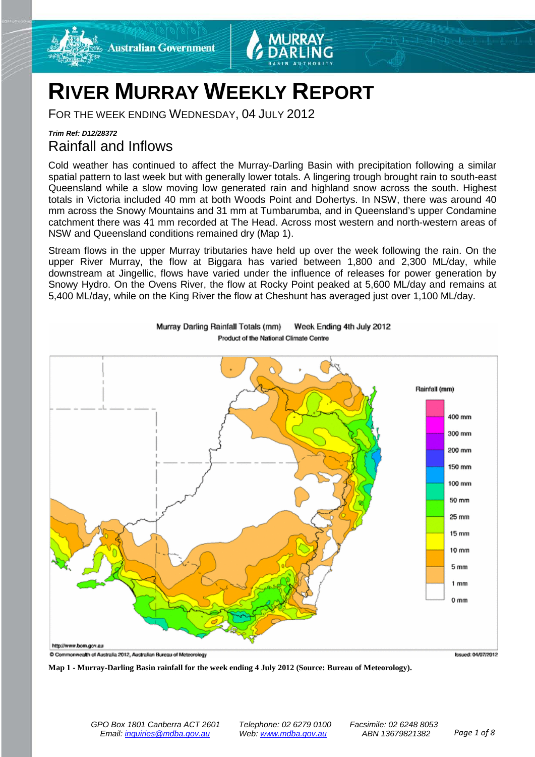



# **RIVER MURRAY WEEKLY REPORT**

FOR THE WEEK ENDING WEDNESDAY, 04 JULY 2012

### *Trim Ref: D12/28372* Rainfall and Inflows

Cold weather has continued to affect the Murray-Darling Basin with precipitation following a similar spatial pattern to last week but with generally lower totals. A lingering trough brought rain to south-east Queensland while a slow moving low generated rain and highland snow across the south. Highest totals in Victoria included 40 mm at both Woods Point and Dohertys. In NSW, there was around 40 mm across the Snowy Mountains and 31 mm at Tumbarumba, and in Queensland's upper Condamine catchment there was 41 mm recorded at The Head. Across most western and north-western areas of NSW and Queensland conditions remained dry (Map 1).

Stream flows in the upper Murray tributaries have held up over the week following the rain. On the upper River Murray, the flow at Biggara has varied between 1,800 and 2,300 ML/day, while downstream at Jingellic, flows have varied under the influence of releases for power generation by Snowy Hydro. On the Ovens River, the flow at Rocky Point peaked at 5,600 ML/day and remains at 5,400 ML/day, while on the King River the flow at Cheshunt has averaged just over 1,100 ML/day.



Murray Darling Rainfall Totals (mm) Week Ending 4th July 2012 Product of the National Climate Centre

**Map 1 - Murray-Darling Basin rainfall for the week ending 4 July 2012 (Source: Bureau of Meteorology).**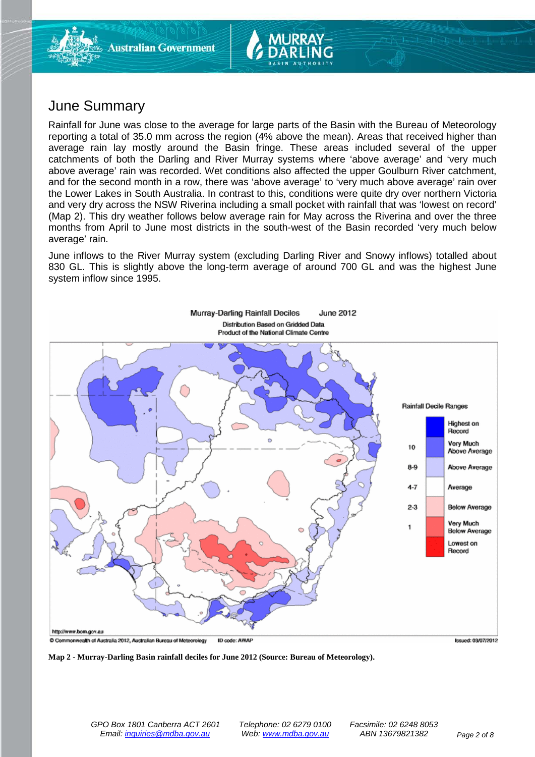

## June Summary

Rainfall for June was close to the average for large parts of the Basin with the Bureau of Meteorology reporting a total of 35.0 mm across the region (4% above the mean). Areas that received higher than average rain lay mostly around the Basin fringe. These areas included several of the upper catchments of both the Darling and River Murray systems where 'above average' and 'very much above average' rain was recorded. Wet conditions also affected the upper Goulburn River catchment, and for the second month in a row, there was 'above average' to 'very much above average' rain over the Lower Lakes in South Australia. In contrast to this, conditions were quite dry over northern Victoria and very dry across the NSW Riverina including a small pocket with rainfall that was 'lowest on record' (Map 2). This dry weather follows below average rain for May across the Riverina and over the three months from April to June most districts in the south-west of the Basin recorded 'very much below average' rain.

June inflows to the River Murray system (excluding Darling River and Snowy inflows) totalled about 830 GL. This is slightly above the long-term average of around 700 GL and was the highest June system inflow since 1995.



**Map 2 - Murray-Darling Basin rainfall deciles for June 2012 (Source: Bureau of Meteorology).**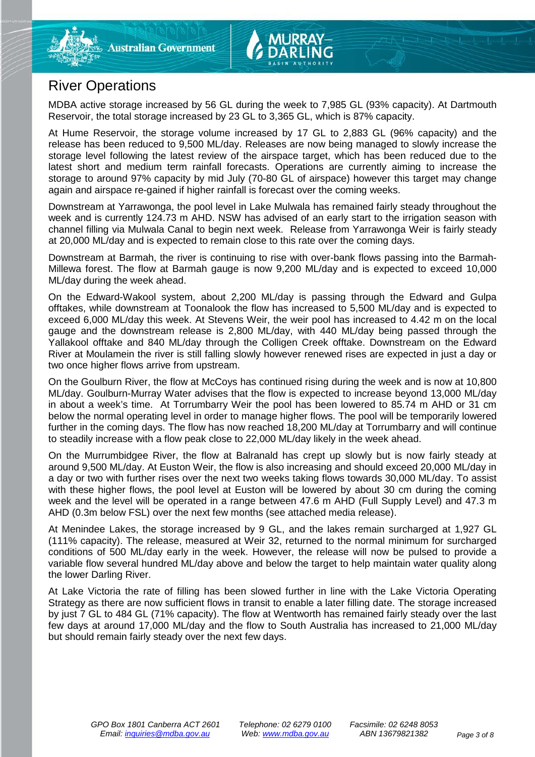

# River Operations

MDBA active storage increased by 56 GL during the week to 7,985 GL (93% capacity). At Dartmouth Reservoir, the total storage increased by 23 GL to 3,365 GL, which is 87% capacity.

At Hume Reservoir, the storage volume increased by 17 GL to 2,883 GL (96% capacity) and the release has been reduced to 9,500 ML/day. Releases are now being managed to slowly increase the storage level following the latest review of the airspace target, which has been reduced due to the latest short and medium term rainfall forecasts. Operations are currently aiming to increase the storage to around 97% capacity by mid July (70-80 GL of airspace) however this target may change again and airspace re-gained if higher rainfall is forecast over the coming weeks.

Downstream at Yarrawonga, the pool level in Lake Mulwala has remained fairly steady throughout the week and is currently 124.73 m AHD. NSW has advised of an early start to the irrigation season with channel filling via Mulwala Canal to begin next week. Release from Yarrawonga Weir is fairly steady at 20,000 ML/day and is expected to remain close to this rate over the coming days.

Downstream at Barmah, the river is continuing to rise with over-bank flows passing into the Barmah-Millewa forest. The flow at Barmah gauge is now 9,200 ML/day and is expected to exceed 10,000 ML/day during the week ahead.

On the Edward-Wakool system, about 2,200 ML/day is passing through the Edward and Gulpa offtakes, while downstream at Toonalook the flow has increased to 5,500 ML/day and is expected to exceed 6,000 ML/day this week. At Stevens Weir, the weir pool has increased to 4.42 m on the local gauge and the downstream release is 2,800 ML/day, with 440 ML/day being passed through the Yallakool offtake and 840 ML/day through the Colligen Creek offtake. Downstream on the Edward River at Moulamein the river is still falling slowly however renewed rises are expected in just a day or two once higher flows arrive from upstream.

On the Goulburn River, the flow at McCoys has continued rising during the week and is now at 10,800 ML/day. Goulburn-Murray Water advises that the flow is expected to increase beyond 13,000 ML/day in about a week's time. At Torrumbarry Weir the pool has been lowered to 85.74 m AHD or 31 cm below the normal operating level in order to manage higher flows. The pool will be temporarily lowered further in the coming days. The flow has now reached 18,200 ML/day at Torrumbarry and will continue to steadily increase with a flow peak close to 22,000 ML/day likely in the week ahead.

On the Murrumbidgee River, the flow at Balranald has crept up slowly but is now fairly steady at around 9,500 ML/day. At Euston Weir, the flow is also increasing and should exceed 20,000 ML/day in a day or two with further rises over the next two weeks taking flows towards 30,000 ML/day. To assist with these higher flows, the pool level at Euston will be lowered by about 30 cm during the coming week and the level will be operated in a range between 47.6 m AHD (Full Supply Level) and 47.3 m AHD (0.3m below FSL) over the next few months (see attached media release).

At Menindee Lakes, the storage increased by 9 GL, and the lakes remain surcharged at 1,927 GL (111% capacity). The release, measured at Weir 32, returned to the normal minimum for surcharged conditions of 500 ML/day early in the week. However, the release will now be pulsed to provide a variable flow several hundred ML/day above and below the target to help maintain water quality along the lower Darling River.

At Lake Victoria the rate of filling has been slowed further in line with the Lake Victoria Operating Strategy as there are now sufficient flows in transit to enable a later filling date. The storage increased by just 7 GL to 484 GL (71% capacity). The flow at Wentworth has remained fairly steady over the last few days at around 17,000 ML/day and the flow to South Australia has increased to 21,000 ML/day but should remain fairly steady over the next few days.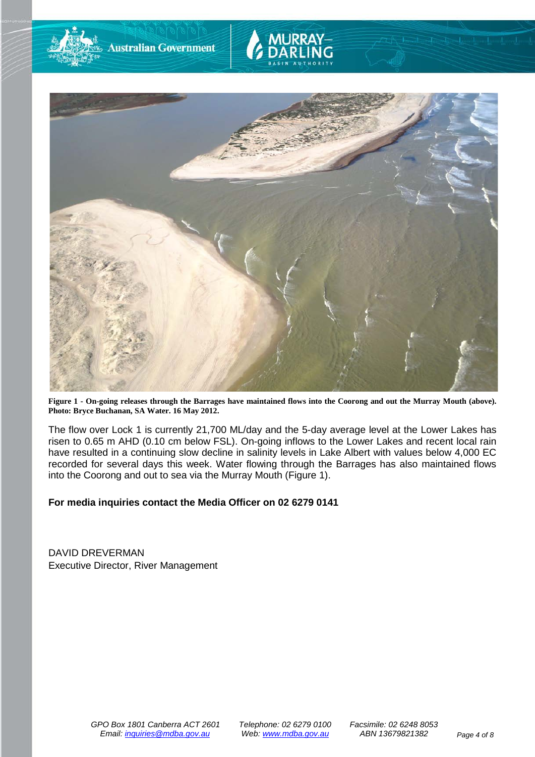

**Figure 1 - On-going releases through the Barrages have maintained flows into the Coorong and out the Murray Mouth (above). Photo: Bryce Buchanan, SA Water. 16 May 2012.**

The flow over Lock 1 is currently 21,700 ML/day and the 5-day average level at the Lower Lakes has risen to 0.65 m AHD (0.10 cm below FSL). On-going inflows to the Lower Lakes and recent local rain have resulted in a continuing slow decline in salinity levels in Lake Albert with values below 4,000 EC recorded for several days this week. Water flowing through the Barrages has also maintained flows into the Coorong and out to sea via the Murray Mouth (Figure 1).

### **For media inquiries contact the Media Officer on 02 6279 0141**

DAVID DREVERMAN Executive Director, River Management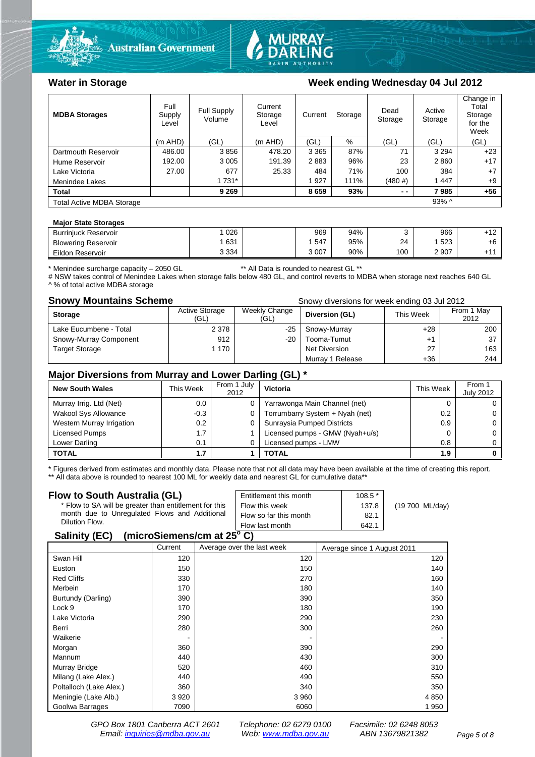



### Water in Storage Week ending Wednesday 04 Jul 2012

| <b>MDBA Storages</b>             | Full<br>Supply<br>Level | Full Supply<br>Volume | Current<br>Storage<br>Level | Current<br>Storage |      | Dead<br>Storage | Active<br>Storage | Change in<br>Total<br>Storage<br>for the<br>Week |
|----------------------------------|-------------------------|-----------------------|-----------------------------|--------------------|------|-----------------|-------------------|--------------------------------------------------|
|                                  | (m AHD)                 | (GL)                  | (m AHD)                     | (GL)               | %    | (GL)            | (GL)              | (GL)                                             |
| Dartmouth Reservoir              | 486.00                  | 3856                  | 478.20                      | 3 3 6 5            | 87%  | 71              | 3 2 9 4           | $+23$                                            |
| Hume Reservoir                   | 192.00                  | 3 0 0 5               | 191.39                      | 2883               | 96%  | 23              | 2860              | $+17$                                            |
| Lake Victoria                    | 27.00                   | 677                   | 25.33                       | 484                | 71%  | 100             | 384               | $+7$                                             |
| Menindee Lakes                   |                         | 1 7 3 1 *             |                             | 927                | 111% | $(480 \#)$      | 1447              | $+9$                                             |
| <b>Total</b>                     |                         | 9 2 6 9               |                             | 8659               | 93%  | $ -$            | 7985              | $+56$                                            |
| <b>Total Active MDBA Storage</b> |                         |                       |                             |                    |      |                 | $93\%$ ^          |                                                  |

### **Major State Storages**

| <b>Burriniuck Reservoir</b> | 026     | 969     | 94% |     | 966     | .40<br>T 14.    |
|-----------------------------|---------|---------|-----|-----|---------|-----------------|
| <b>Blowering Reservoir</b>  | 631     | 547     | 95% | 24  | 523     | +6              |
| Eildon Reservoir            | 3 3 3 4 | 3 0 0 7 | 90% | 100 | 2 9 0 7 | .4 <sub>4</sub> |

\* Menindee surcharge capacity – 2050 GL \*\* All Data is rounded to nearest GL \*\*

# NSW takes control of Menindee Lakes when storage falls below 480 GL, and control reverts to MDBA when storage next reaches 640 GL ^ % of total active MDBA storage

### **Snowy Mountains Scheme Snowy diversions for week ending 03 Jul 2012**

|                        | OTIOWY GIVETSIONS TOF WEEK CHAING OS SUI ZUTZ |                       |                  |           |                    |
|------------------------|-----------------------------------------------|-----------------------|------------------|-----------|--------------------|
| <b>Storage</b>         | <b>Active Storage</b><br>(GL)                 | Weekly Change<br>(GL) | Diversion (GL)   | This Week | From 1 May<br>2012 |
| Lake Eucumbene - Total | 2 3 7 8                                       | -25                   | Snowy-Murray     | $+28$     | 200                |
| Snowy-Murray Component | 912                                           | -20                   | Tooma-Tumut      | $+1$      | 37                 |
| <b>Target Storage</b>  | 1 170                                         |                       | Net Diversion    | 27        | 163                |
|                        |                                               |                       | Murray 1 Release | $+36$     | 244                |

### **Major Diversions from Murray and Lower Darling (GL) \***

| <b>New South Wales</b>    | This Week | From 1 July<br>2012 | Victoria                        | This Week     | From 1<br><b>July 2012</b> |
|---------------------------|-----------|---------------------|---------------------------------|---------------|----------------------------|
| Murray Irrig. Ltd (Net)   | 0.0       | 0                   | Yarrawonga Main Channel (net)   |               |                            |
| Wakool Sys Allowance      | $-0.3$    | 0                   | Torrumbarry System + Nyah (net) | $0.2^{\circ}$ |                            |
| Western Murray Irrigation | 0.2       |                     | Sunraysia Pumped Districts      | 0.9           |                            |
| Licensed Pumps            | 1.7       |                     | Licensed pumps - GMW (Nyah+u/s) |               |                            |
| Lower Darling             | 0.1       |                     | Licensed pumps - LMW            | 0.8           |                            |
| <b>TOTAL</b>              | 1.7       |                     | TOTAL                           | 1.9           |                            |

\* Figures derived from estimates and monthly data. Please note that not all data may have been available at the time of creating this report. \*\* All data above is rounded to nearest 100 ML for weekly data and nearest GL for cumulative data\*\*

### **Flow to South Australia (GL)**

| Flow to South Australia (GL)                              | Entitlement this month | $108.5*$ |                 |  |  |  |
|-----------------------------------------------------------|------------------------|----------|-----------------|--|--|--|
| * Flow to SA will be greater than entitlement for this    | Flow this week         | 137.8    | (19 700 ML/day) |  |  |  |
| month due to Unregulated Flows and Additional             | Flow so far this month | 82.1     |                 |  |  |  |
| Dilution Flow.                                            | Flow last month        | 642.1    |                 |  |  |  |
| $\mathbf{A}$ , $\mathbf{B}$ , $\mathbf{A}$ , $\mathbf{B}$ |                        |          |                 |  |  |  |

### **Salinity (EC) (microSiemens/cm at 25o C)**

|                         | Current | Average over the last week | Average since 1 August 2011 |
|-------------------------|---------|----------------------------|-----------------------------|
| Swan Hill               | 120     | 120                        | 120                         |
| Euston                  | 150     | 150                        | 140                         |
| <b>Red Cliffs</b>       | 330     | 270                        | 160                         |
| Merbein                 | 170     | 180                        | 140                         |
| Burtundy (Darling)      | 390     | 390                        | 350                         |
| Lock 9                  | 170     | 180                        | 190                         |
| Lake Victoria           | 290     | 290                        | 230                         |
| Berri                   | 280     | 300                        | 260                         |
| Waikerie                |         |                            |                             |
| Morgan                  | 360     | 390                        | 290                         |
| Mannum                  | 440     | 430                        | 300                         |
| Murray Bridge           | 520     | 460                        | 310                         |
| Milang (Lake Alex.)     | 440     | 490                        | 550                         |
| Poltalloch (Lake Alex.) | 360     | 340                        | 350                         |
| Meningie (Lake Alb.)    | 3 9 2 0 | 3 9 6 0                    | 4 8 5 0                     |
| Goolwa Barrages         | 7090    | 6060                       | 1950                        |

*GPO Box 1801 Canberra ACT 2601 Telephone: 02 6279 0100 Facsimile: 02 6248 8053 Email: [inquiries@mdba.gov.au](mailto:inquiries@mdba.gov.au) Web: [www.mdba.gov.au](http://www.mdba.gov.au/) ABN 13679821382 Page 5 of 8*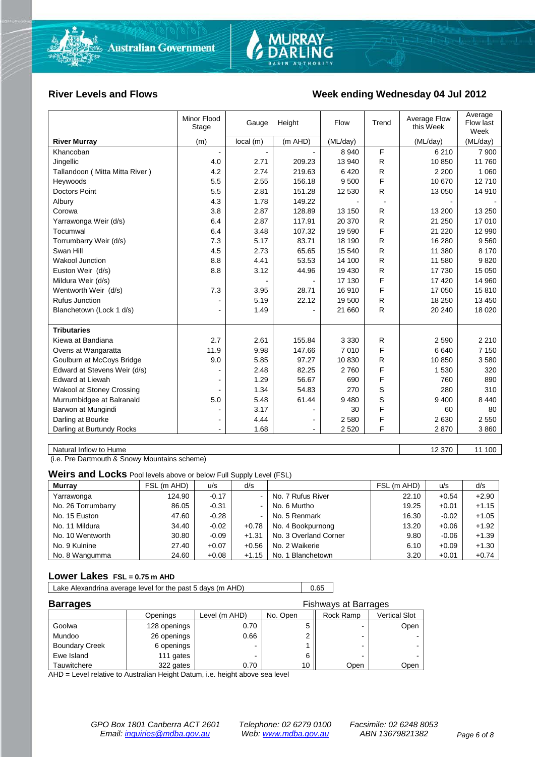

### River Levels and Flows **Week ending Wednesday 04 Jul 2012**

| <b>River Murray</b><br>(m AHD)<br>(m)<br>local(m)<br>(ML/day)<br>(ML/day)<br>(ML/day)<br>F<br>8 9 4 0<br>6 2 1 0<br>7 900<br>Khancoban<br>$\blacksquare$<br>4.0<br>2.71<br>209.23<br>13 940<br>R<br>10 850<br>11 760<br>Jingellic<br>R<br>Tallandoon (Mitta Mitta River)<br>4.2<br>2.74<br>219.63<br>6420<br>2 2 0 0<br>1 0 6 0<br>F<br>5.5<br>2.55<br>156.18<br>12710<br>Heywoods<br>9500<br>10 670<br><b>Doctors Point</b><br>5.5<br>2.81<br>151.28<br>14 910<br>12 530<br>R.<br>13 050<br>4.3<br>1.78<br>149.22<br>Albury<br>3.8<br>2.87<br>128.89<br>R<br>13 200<br>13 250<br>Corowa<br>13 150<br>117.91<br>R<br>17 010<br>Yarrawonga Weir (d/s)<br>6.4<br>2.87<br>20 370<br>21 250<br>F<br>6.4<br>3.48<br>107.32<br>21 2 20<br>12 990<br>Tocumwal<br>19 590<br>7.3<br>5.17<br>83.71<br>R<br>16 280<br>9 5 6 0<br>Torrumbarry Weir (d/s)<br>18 190<br>4.5<br>2.73<br>65.65<br>R.<br>8 1 7 0<br>Swan Hill<br>15 540<br>11 380<br><b>Wakool Junction</b><br>8.8<br>4.41<br>53.53<br>R<br>9820<br>14 100<br>11 580<br>44.96<br>R<br>17 730<br>15 050<br>Euston Weir (d/s)<br>8.8<br>3.12<br>19 430<br>F<br>14 960<br>Mildura Weir (d/s)<br>17 130<br>17 4 20<br>F<br>7.3<br>3.95<br>28.71<br>15810<br>Wentworth Weir (d/s)<br>16910<br>17 050<br><b>Rufus Junction</b><br>5.19<br>R<br>18 250<br>13 450<br>22.12<br>19 500<br>Blanchetown (Lock 1 d/s)<br>R.<br>18 0 20<br>1.49<br>21 660<br>20 240<br>٠<br><b>Tributaries</b><br>2.7<br>2.61<br>155.84<br>2 2 1 0<br>Kiewa at Bandiana<br>3 3 3 0<br>R<br>2 5 9 0<br>F<br>11.9<br>9.98<br>147.66<br>7010<br>6640<br>7 1 5 0<br>Ovens at Wangaratta<br>Goulburn at McCoys Bridge<br>9.0<br>5.85<br>97.27<br>10830<br>R<br>10 850<br>3580<br>F<br>Edward at Stevens Weir (d/s)<br>82.25<br>2.48<br>2760<br>1 5 3 0<br>320<br>F<br><b>Edward at Liewah</b><br>56.67<br>1.29<br>690<br>760<br>890<br>54.83<br>S<br>Wakool at Stoney Crossing<br>1.34<br>270<br>280<br>310<br>S<br>5.0<br>Murrumbidgee at Balranald<br>5.48<br>61.44<br>9480<br>9 4 0 0<br>8 4 4 0<br>F<br>Barwon at Mungindi<br>3.17<br>30<br>60<br>80<br>Darling at Bourke<br>F<br>4.44<br>2580<br>2630<br>2 5 5 0<br>۰<br>$\blacksquare$<br>F |                           | Minor Flood<br>Stage | Gauge | Height | Flow    | Trend | Average Flow<br>this Week | Average<br>Flow last<br>Week |
|---------------------------------------------------------------------------------------------------------------------------------------------------------------------------------------------------------------------------------------------------------------------------------------------------------------------------------------------------------------------------------------------------------------------------------------------------------------------------------------------------------------------------------------------------------------------------------------------------------------------------------------------------------------------------------------------------------------------------------------------------------------------------------------------------------------------------------------------------------------------------------------------------------------------------------------------------------------------------------------------------------------------------------------------------------------------------------------------------------------------------------------------------------------------------------------------------------------------------------------------------------------------------------------------------------------------------------------------------------------------------------------------------------------------------------------------------------------------------------------------------------------------------------------------------------------------------------------------------------------------------------------------------------------------------------------------------------------------------------------------------------------------------------------------------------------------------------------------------------------------------------------------------------------------------------------------------------------------------------------------------------------------------------------------------------------------------------------------------------------------------------------------------------------|---------------------------|----------------------|-------|--------|---------|-------|---------------------------|------------------------------|
|                                                                                                                                                                                                                                                                                                                                                                                                                                                                                                                                                                                                                                                                                                                                                                                                                                                                                                                                                                                                                                                                                                                                                                                                                                                                                                                                                                                                                                                                                                                                                                                                                                                                                                                                                                                                                                                                                                                                                                                                                                                                                                                                                               |                           |                      |       |        |         |       |                           |                              |
|                                                                                                                                                                                                                                                                                                                                                                                                                                                                                                                                                                                                                                                                                                                                                                                                                                                                                                                                                                                                                                                                                                                                                                                                                                                                                                                                                                                                                                                                                                                                                                                                                                                                                                                                                                                                                                                                                                                                                                                                                                                                                                                                                               |                           |                      |       |        |         |       |                           |                              |
|                                                                                                                                                                                                                                                                                                                                                                                                                                                                                                                                                                                                                                                                                                                                                                                                                                                                                                                                                                                                                                                                                                                                                                                                                                                                                                                                                                                                                                                                                                                                                                                                                                                                                                                                                                                                                                                                                                                                                                                                                                                                                                                                                               |                           |                      |       |        |         |       |                           |                              |
|                                                                                                                                                                                                                                                                                                                                                                                                                                                                                                                                                                                                                                                                                                                                                                                                                                                                                                                                                                                                                                                                                                                                                                                                                                                                                                                                                                                                                                                                                                                                                                                                                                                                                                                                                                                                                                                                                                                                                                                                                                                                                                                                                               |                           |                      |       |        |         |       |                           |                              |
|                                                                                                                                                                                                                                                                                                                                                                                                                                                                                                                                                                                                                                                                                                                                                                                                                                                                                                                                                                                                                                                                                                                                                                                                                                                                                                                                                                                                                                                                                                                                                                                                                                                                                                                                                                                                                                                                                                                                                                                                                                                                                                                                                               |                           |                      |       |        |         |       |                           |                              |
|                                                                                                                                                                                                                                                                                                                                                                                                                                                                                                                                                                                                                                                                                                                                                                                                                                                                                                                                                                                                                                                                                                                                                                                                                                                                                                                                                                                                                                                                                                                                                                                                                                                                                                                                                                                                                                                                                                                                                                                                                                                                                                                                                               |                           |                      |       |        |         |       |                           |                              |
|                                                                                                                                                                                                                                                                                                                                                                                                                                                                                                                                                                                                                                                                                                                                                                                                                                                                                                                                                                                                                                                                                                                                                                                                                                                                                                                                                                                                                                                                                                                                                                                                                                                                                                                                                                                                                                                                                                                                                                                                                                                                                                                                                               |                           |                      |       |        |         |       |                           |                              |
|                                                                                                                                                                                                                                                                                                                                                                                                                                                                                                                                                                                                                                                                                                                                                                                                                                                                                                                                                                                                                                                                                                                                                                                                                                                                                                                                                                                                                                                                                                                                                                                                                                                                                                                                                                                                                                                                                                                                                                                                                                                                                                                                                               |                           |                      |       |        |         |       |                           |                              |
|                                                                                                                                                                                                                                                                                                                                                                                                                                                                                                                                                                                                                                                                                                                                                                                                                                                                                                                                                                                                                                                                                                                                                                                                                                                                                                                                                                                                                                                                                                                                                                                                                                                                                                                                                                                                                                                                                                                                                                                                                                                                                                                                                               |                           |                      |       |        |         |       |                           |                              |
|                                                                                                                                                                                                                                                                                                                                                                                                                                                                                                                                                                                                                                                                                                                                                                                                                                                                                                                                                                                                                                                                                                                                                                                                                                                                                                                                                                                                                                                                                                                                                                                                                                                                                                                                                                                                                                                                                                                                                                                                                                                                                                                                                               |                           |                      |       |        |         |       |                           |                              |
|                                                                                                                                                                                                                                                                                                                                                                                                                                                                                                                                                                                                                                                                                                                                                                                                                                                                                                                                                                                                                                                                                                                                                                                                                                                                                                                                                                                                                                                                                                                                                                                                                                                                                                                                                                                                                                                                                                                                                                                                                                                                                                                                                               |                           |                      |       |        |         |       |                           |                              |
|                                                                                                                                                                                                                                                                                                                                                                                                                                                                                                                                                                                                                                                                                                                                                                                                                                                                                                                                                                                                                                                                                                                                                                                                                                                                                                                                                                                                                                                                                                                                                                                                                                                                                                                                                                                                                                                                                                                                                                                                                                                                                                                                                               |                           |                      |       |        |         |       |                           |                              |
|                                                                                                                                                                                                                                                                                                                                                                                                                                                                                                                                                                                                                                                                                                                                                                                                                                                                                                                                                                                                                                                                                                                                                                                                                                                                                                                                                                                                                                                                                                                                                                                                                                                                                                                                                                                                                                                                                                                                                                                                                                                                                                                                                               |                           |                      |       |        |         |       |                           |                              |
|                                                                                                                                                                                                                                                                                                                                                                                                                                                                                                                                                                                                                                                                                                                                                                                                                                                                                                                                                                                                                                                                                                                                                                                                                                                                                                                                                                                                                                                                                                                                                                                                                                                                                                                                                                                                                                                                                                                                                                                                                                                                                                                                                               |                           |                      |       |        |         |       |                           |                              |
|                                                                                                                                                                                                                                                                                                                                                                                                                                                                                                                                                                                                                                                                                                                                                                                                                                                                                                                                                                                                                                                                                                                                                                                                                                                                                                                                                                                                                                                                                                                                                                                                                                                                                                                                                                                                                                                                                                                                                                                                                                                                                                                                                               |                           |                      |       |        |         |       |                           |                              |
|                                                                                                                                                                                                                                                                                                                                                                                                                                                                                                                                                                                                                                                                                                                                                                                                                                                                                                                                                                                                                                                                                                                                                                                                                                                                                                                                                                                                                                                                                                                                                                                                                                                                                                                                                                                                                                                                                                                                                                                                                                                                                                                                                               |                           |                      |       |        |         |       |                           |                              |
|                                                                                                                                                                                                                                                                                                                                                                                                                                                                                                                                                                                                                                                                                                                                                                                                                                                                                                                                                                                                                                                                                                                                                                                                                                                                                                                                                                                                                                                                                                                                                                                                                                                                                                                                                                                                                                                                                                                                                                                                                                                                                                                                                               |                           |                      |       |        |         |       |                           |                              |
|                                                                                                                                                                                                                                                                                                                                                                                                                                                                                                                                                                                                                                                                                                                                                                                                                                                                                                                                                                                                                                                                                                                                                                                                                                                                                                                                                                                                                                                                                                                                                                                                                                                                                                                                                                                                                                                                                                                                                                                                                                                                                                                                                               |                           |                      |       |        |         |       |                           |                              |
|                                                                                                                                                                                                                                                                                                                                                                                                                                                                                                                                                                                                                                                                                                                                                                                                                                                                                                                                                                                                                                                                                                                                                                                                                                                                                                                                                                                                                                                                                                                                                                                                                                                                                                                                                                                                                                                                                                                                                                                                                                                                                                                                                               |                           |                      |       |        |         |       |                           |                              |
|                                                                                                                                                                                                                                                                                                                                                                                                                                                                                                                                                                                                                                                                                                                                                                                                                                                                                                                                                                                                                                                                                                                                                                                                                                                                                                                                                                                                                                                                                                                                                                                                                                                                                                                                                                                                                                                                                                                                                                                                                                                                                                                                                               |                           |                      |       |        |         |       |                           |                              |
|                                                                                                                                                                                                                                                                                                                                                                                                                                                                                                                                                                                                                                                                                                                                                                                                                                                                                                                                                                                                                                                                                                                                                                                                                                                                                                                                                                                                                                                                                                                                                                                                                                                                                                                                                                                                                                                                                                                                                                                                                                                                                                                                                               |                           |                      |       |        |         |       |                           |                              |
|                                                                                                                                                                                                                                                                                                                                                                                                                                                                                                                                                                                                                                                                                                                                                                                                                                                                                                                                                                                                                                                                                                                                                                                                                                                                                                                                                                                                                                                                                                                                                                                                                                                                                                                                                                                                                                                                                                                                                                                                                                                                                                                                                               |                           |                      |       |        |         |       |                           |                              |
|                                                                                                                                                                                                                                                                                                                                                                                                                                                                                                                                                                                                                                                                                                                                                                                                                                                                                                                                                                                                                                                                                                                                                                                                                                                                                                                                                                                                                                                                                                                                                                                                                                                                                                                                                                                                                                                                                                                                                                                                                                                                                                                                                               |                           |                      |       |        |         |       |                           |                              |
|                                                                                                                                                                                                                                                                                                                                                                                                                                                                                                                                                                                                                                                                                                                                                                                                                                                                                                                                                                                                                                                                                                                                                                                                                                                                                                                                                                                                                                                                                                                                                                                                                                                                                                                                                                                                                                                                                                                                                                                                                                                                                                                                                               |                           |                      |       |        |         |       |                           |                              |
|                                                                                                                                                                                                                                                                                                                                                                                                                                                                                                                                                                                                                                                                                                                                                                                                                                                                                                                                                                                                                                                                                                                                                                                                                                                                                                                                                                                                                                                                                                                                                                                                                                                                                                                                                                                                                                                                                                                                                                                                                                                                                                                                                               |                           |                      |       |        |         |       |                           |                              |
|                                                                                                                                                                                                                                                                                                                                                                                                                                                                                                                                                                                                                                                                                                                                                                                                                                                                                                                                                                                                                                                                                                                                                                                                                                                                                                                                                                                                                                                                                                                                                                                                                                                                                                                                                                                                                                                                                                                                                                                                                                                                                                                                                               |                           |                      |       |        |         |       |                           |                              |
|                                                                                                                                                                                                                                                                                                                                                                                                                                                                                                                                                                                                                                                                                                                                                                                                                                                                                                                                                                                                                                                                                                                                                                                                                                                                                                                                                                                                                                                                                                                                                                                                                                                                                                                                                                                                                                                                                                                                                                                                                                                                                                                                                               |                           |                      |       |        |         |       |                           |                              |
|                                                                                                                                                                                                                                                                                                                                                                                                                                                                                                                                                                                                                                                                                                                                                                                                                                                                                                                                                                                                                                                                                                                                                                                                                                                                                                                                                                                                                                                                                                                                                                                                                                                                                                                                                                                                                                                                                                                                                                                                                                                                                                                                                               |                           |                      |       |        |         |       |                           |                              |
|                                                                                                                                                                                                                                                                                                                                                                                                                                                                                                                                                                                                                                                                                                                                                                                                                                                                                                                                                                                                                                                                                                                                                                                                                                                                                                                                                                                                                                                                                                                                                                                                                                                                                                                                                                                                                                                                                                                                                                                                                                                                                                                                                               |                           |                      |       |        |         |       |                           |                              |
|                                                                                                                                                                                                                                                                                                                                                                                                                                                                                                                                                                                                                                                                                                                                                                                                                                                                                                                                                                                                                                                                                                                                                                                                                                                                                                                                                                                                                                                                                                                                                                                                                                                                                                                                                                                                                                                                                                                                                                                                                                                                                                                                                               | Darling at Burtundy Rocks |                      | 1.68  |        | 2 5 2 0 |       | 2870                      | 3860                         |

Natural Inflow to Hume 12 370 11 100

(i.e. Pre Dartmouth & Snowy Mountains scheme)

**Weirs and Locks** Pool levels above or below Full Supply Level (FSL)

| <b>Murray</b>      | FSL (m AHD) | u/s     | d/s     |                       | FSL (m AHD) | u/s     | d/s     |
|--------------------|-------------|---------|---------|-----------------------|-------------|---------|---------|
| Yarrawonga         | 124.90      | $-0.17$ |         | No. 7 Rufus River     | 22.10       | $+0.54$ | $+2.90$ |
| No. 26 Torrumbarry | 86.05       | $-0.31$ |         | No. 6 Murtho          | 19.25       | $+0.01$ | $+1.15$ |
| No. 15 Euston      | 47.60       | $-0.28$ |         | No. 5 Renmark         | 16.30       | $-0.02$ | $+1.05$ |
| No. 11 Mildura     | 34.40       | $-0.02$ | $+0.78$ | No. 4 Bookpurnong     | 13.20       | $+0.06$ | $+1.92$ |
| No. 10 Wentworth   | 30.80       | $-0.09$ | $+1.31$ | No. 3 Overland Corner | 9.80        | $-0.06$ | $+1.39$ |
| No. 9 Kulnine      | 27.40       | $+0.07$ | $+0.56$ | No. 2 Waikerie        | 6.10        | $+0.09$ | $+1.30$ |
| No. 8 Wangumma     | 24.60       | $+0.08$ | $+1.15$ | No. 1 Blanchetown     | 3.20        | $+0.01$ | $+0.74$ |

### **Lower Lakes FSL = 0.75 m AHD**

Lake Alexandrina average level for the past 5 days (m AHD) 0.65

| <b>Barrages</b>       | <b>Fishways at Barrages</b> |               |          |           |               |  |
|-----------------------|-----------------------------|---------------|----------|-----------|---------------|--|
|                       | Openings                    | Level (m AHD) | No. Open | Rock Ramp | Vertical Slot |  |
| Goolwa                | 128 openings                | 0.70          |          | -         | Open          |  |
| Mundoo                | 26 openings                 | 0.66          |          | -         |               |  |
| <b>Boundary Creek</b> | 6 openings                  |               |          |           |               |  |
| Ewe Island            | 111 gates                   |               | 6        | -         |               |  |
| Tauwitchere           | 322 gates                   | 0.70          | 10.      | Open      | Open          |  |

AHD = Level relative to Australian Height Datum, i.e. height above sea level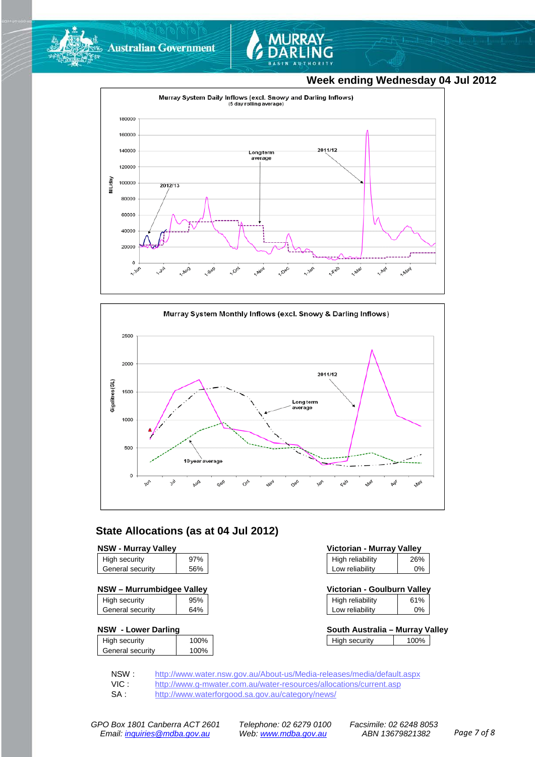



### **Week ending Wednesday 04 Jul 2012**





### **State Allocations (as at 04 Jul 2012)**

### **NSW - Murray Valley**

| High security    | 97% |
|------------------|-----|
| General security | 56% |
|                  |     |

### **NSW – Murrumbidgee Valley Victorian - Goulburn Valley**

| High security    | 95% |
|------------------|-----|
| General security | 64% |

### **NSW - Lower Darling South Australia – Murray Valley**

| High security    | 100% |
|------------------|------|
| General security | 100% |
|                  |      |

| Victorian - Murray Valley |     |  |  |
|---------------------------|-----|--|--|
| High reliability          | 26% |  |  |
| Low reliability           | 0%  |  |  |

| Victorian - Goulburn Valley |     |
|-----------------------------|-----|
| High reliability            | 61% |
| والمتالف المرتا ومرواني     |     |

|                 | erik Aristralia - Murroschlall |  |
|-----------------|--------------------------------|--|
|                 |                                |  |
| Low reliability | 0%                             |  |

| SOUUI AUSU alla – MUITAV VAIIEV |      |  |
|---------------------------------|------|--|
| High security                   | 100% |  |
|                                 |      |  |

NSW : <http://www.water.nsw.gov.au/About-us/Media-releases/media/default.aspx><br>VIC : http://www.g-mwater.com.au/water-resources/allocations/current.asp

VIC : <http://www.g-mwater.com.au/water-resources/allocations/current.asp><br>SA : http://www.waterforgood.sa.gov.au/category/news/

<http://www.waterforgood.sa.gov.au/category/news/>